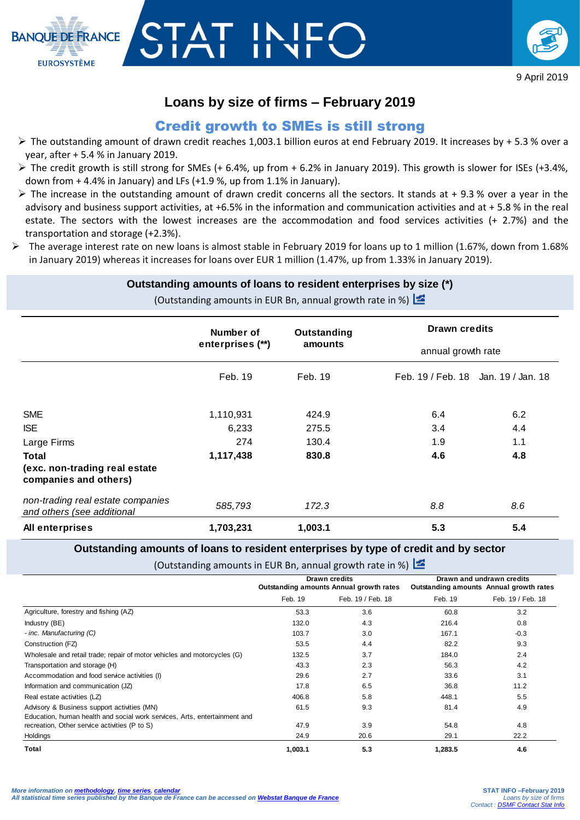

# **Loans by size of firms – February 2019**

Г II<br>Г

**BANOUE DE FRANCE** 

**EUROSYSTÈME** 

## Credit growth to SMEs is still strong

- The outstanding amount of drawn credit reaches 1,003.1 billion euros at end February 2019. It increases by + 5.3 % over a year, after + 5.4 % in January 2019.
- $\triangleright$  The credit growth is still strong for SMEs (+ 6.4%, up from + 6.2% in January 2019). This growth is slower for ISEs (+3.4%, down from + 4.4% in January) and LFs (+1.9 %, up from 1.1% in January).
- $\triangleright$  The increase in the outstanding amount of drawn credit concerns all the sectors. It stands at + 9.3 % over a year in the advisory and business support activities, at +6.5% in the information and communication activities and at + 5.8 % in the real estate. The sectors with the lowest increases are the accommodation and food services activities (+ 2.7%) and the transportation and storage (+2.3%).
- The average interest rate on new loans is almost stable in February 2019 for loans up to 1 million (1.67%, down from 1.68% in January 2019) whereas it increases for loans over EUR 1 million (1.47%, up from 1.33% in January 2019).

### **Outstanding amounts of loans to resident enterprises by size (\*)**

(Outstanding amounts in EUR Bn, annual growth rate in %)

|                                                                 | Number of<br>enterprises (**) | Outstanding<br>amounts | <b>Drawn credits</b><br>annual growth rate |     |
|-----------------------------------------------------------------|-------------------------------|------------------------|--------------------------------------------|-----|
|                                                                 |                               |                        |                                            |     |
|                                                                 | Feb. 19                       | Feb. 19                | Feb. 19 / Feb. 18 Jan. 19 / Jan. 18        |     |
| <b>SME</b>                                                      | 1,110,931                     | 424.9                  | 6.4                                        | 6.2 |
| <b>ISE</b>                                                      | 6,233                         | 275.5                  | 3.4                                        | 4.4 |
| Large Firms                                                     | 274                           | 130.4                  | 1.9                                        | 1.1 |
| <b>Total</b>                                                    | 1,117,438                     | 830.8                  | 4.6                                        | 4.8 |
| (exc. non-trading real estate<br>companies and others)          |                               |                        |                                            |     |
| non-trading real estate companies<br>and others (see additional | 585,793                       | 172.3                  | 8.8                                        | 8.6 |
| All enterprises                                                 | 1,703,231                     | 1,003.1                | 5.3                                        | 5.4 |

#### **Outstanding amounts of loans to resident enterprises by type of credit and by sector**

(Outstanding amounts in EUR Bn, annual growth rate in %)

|                                                                                                                            |                                         | <b>Drawn credits</b> | Drawn and undrawn credits               |                   |
|----------------------------------------------------------------------------------------------------------------------------|-----------------------------------------|----------------------|-----------------------------------------|-------------------|
|                                                                                                                            | Outstanding amounts Annual growth rates |                      | Outstanding amounts Annual growth rates |                   |
|                                                                                                                            | Feb. 19                                 | Feb. 19 / Feb. 18    | Feb. 19                                 | Feb. 19 / Feb. 18 |
| Agriculture, forestry and fishing (AZ)                                                                                     | 53.3                                    | 3.6                  | 60.8                                    | 3.2               |
| Industry (BE)                                                                                                              | 132.0                                   | 4.3                  | 216.4                                   | 0.8               |
| - inc. Manufacturing (C)                                                                                                   | 103.7                                   | 3.0                  | 167.1                                   | $-0.3$            |
| Construction (FZ)                                                                                                          | 53.5                                    | 4.4                  | 82.2                                    | 9.3               |
| Wholesale and retail trade; repair of motor vehicles and motorcycles (G)                                                   | 132.5                                   | 3.7                  | 184.0                                   | 2.4               |
| Transportation and storage (H)                                                                                             | 43.3                                    | 2.3                  | 56.3                                    | 4.2               |
| Accommodation and food service activities (I)                                                                              | 29.6                                    | 2.7                  | 33.6                                    | 3.1               |
| Information and communication (JZ)                                                                                         | 17.8                                    | 6.5                  | 36.8                                    | 11.2              |
| Real estate activities (LZ)                                                                                                | 406.8                                   | 5.8                  | 448.1                                   | 5.5               |
| Advisory & Business support activities (MN)                                                                                | 61.5                                    | 9.3                  | 81.4                                    | 4.9               |
| Education, human health and social work services, Arts, entertainment and<br>recreation, Other service activities (P to S) | 47.9                                    | 3.9                  | 54.8                                    | 4.8               |
| Holdings                                                                                                                   | 24.9                                    | 20.6                 | 29.1                                    | 22.2              |
| Total                                                                                                                      | 1,003.1                                 | 5.3                  | 1,283.5                                 | 4.6               |